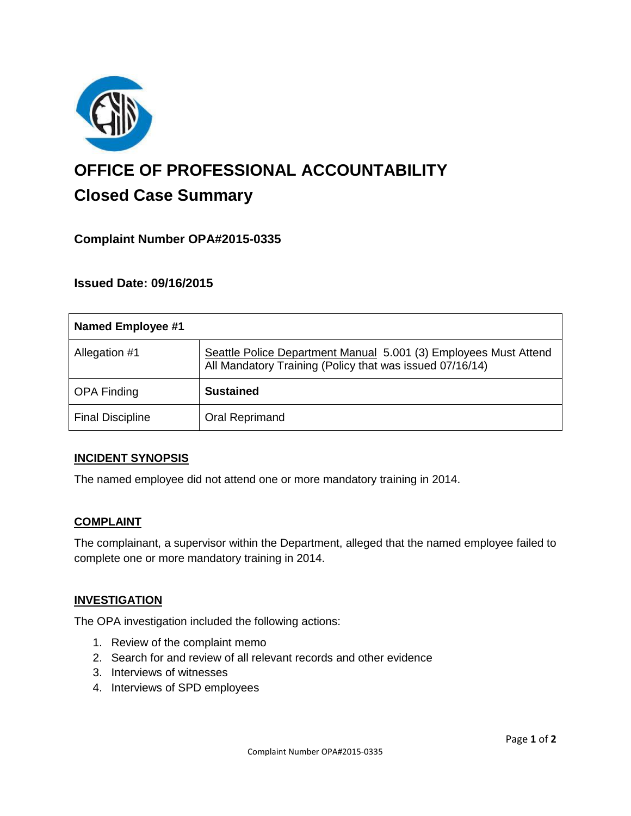

# **OFFICE OF PROFESSIONAL ACCOUNTABILITY Closed Case Summary**

## **Complaint Number OPA#2015-0335**

**Issued Date: 09/16/2015**

| Named Employee #1       |                                                                                                                              |
|-------------------------|------------------------------------------------------------------------------------------------------------------------------|
| Allegation #1           | Seattle Police Department Manual 5.001 (3) Employees Must Attend<br>All Mandatory Training (Policy that was issued 07/16/14) |
| <b>OPA Finding</b>      | <b>Sustained</b>                                                                                                             |
| <b>Final Discipline</b> | Oral Reprimand                                                                                                               |

#### **INCIDENT SYNOPSIS**

The named employee did not attend one or more mandatory training in 2014.

#### **COMPLAINT**

The complainant, a supervisor within the Department, alleged that the named employee failed to complete one or more mandatory training in 2014.

#### **INVESTIGATION**

The OPA investigation included the following actions:

- 1. Review of the complaint memo
- 2. Search for and review of all relevant records and other evidence
- 3. Interviews of witnesses
- 4. Interviews of SPD employees